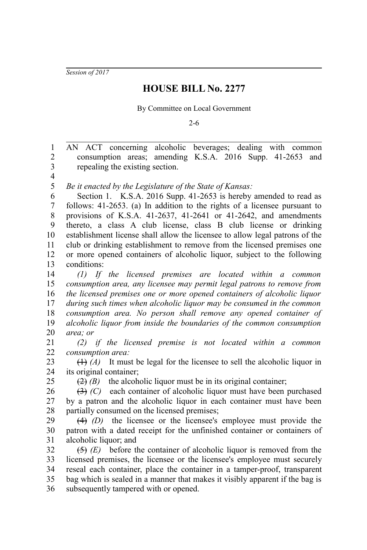*Session of 2017*

## **HOUSE BILL No. 2277**

## By Committee on Local Government

2-6

AN ACT concerning alcoholic beverages; dealing with common consumption areas; amending K.S.A. 2016 Supp. 41-2653 and repealing the existing section. 1 2 3

4

25

*Be it enacted by the Legislature of the State of Kansas:* 5

Section 1. K.S.A. 2016 Supp. 41-2653 is hereby amended to read as follows: 41-2653. (a) In addition to the rights of a licensee pursuant to provisions of K.S.A. 41-2637, 41-2641 or 41-2642, and amendments thereto, a class A club license, class B club license or drinking establishment license shall allow the licensee to allow legal patrons of the club or drinking establishment to remove from the licensed premises one or more opened containers of alcoholic liquor, subject to the following conditions: 6 7 8 9 10 11 12 13

*(1) If the licensed premises are located within a common consumption area, any licensee may permit legal patrons to remove from the licensed premises one or more opened containers of alcoholic liquor during such times when alcoholic liquor may be consumed in the common consumption area. No person shall remove any opened container of alcoholic liquor from inside the boundaries of the common consumption area; or* 14 15 16 17 18 19 20

*(2) if the licensed premise is not located within a common consumption area:* 21 22

(1) *(A)* It must be legal for the licensee to sell the alcoholic liquor in its original container; 23 24

 $(2)$  (B) the alcoholic liquor must be in its original container;

(3) *(C)* each container of alcoholic liquor must have been purchased by a patron and the alcoholic liquor in each container must have been partially consumed on the licensed premises; 26 27 28

(4) *(D)* the licensee or the licensee's employee must provide the patron with a dated receipt for the unfinished container or containers of alcoholic liquor; and 29 30 31

(5) *(E)* before the container of alcoholic liquor is removed from the licensed premises, the licensee or the licensee's employee must securely reseal each container, place the container in a tamper-proof, transparent bag which is sealed in a manner that makes it visibly apparent if the bag is subsequently tampered with or opened. 32 33 34 35 36